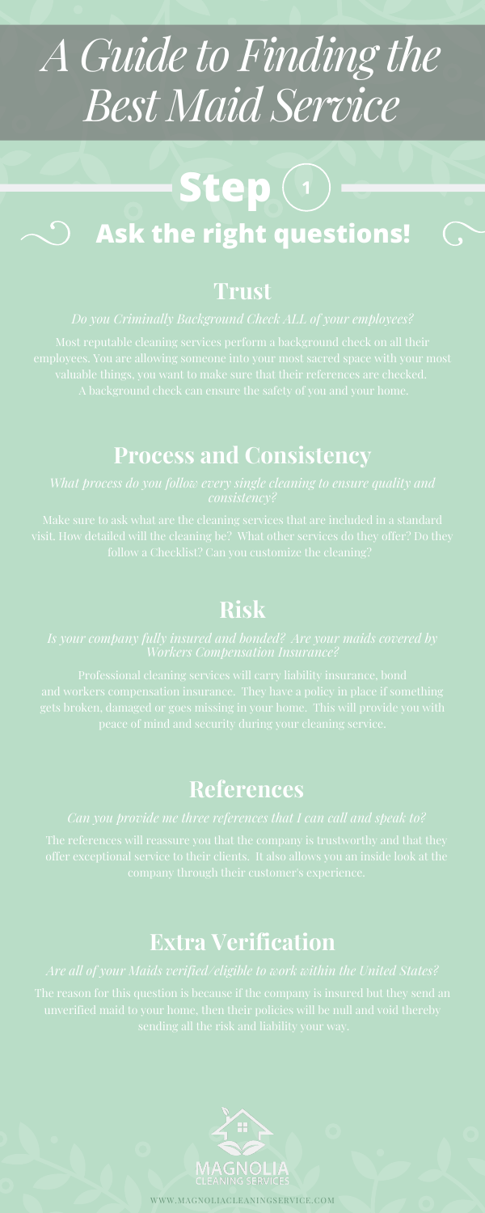## **Risk**

peace of mind and security during your cleaning service.

# *A Guide to Finding the Best Maid Service*

## **Trust**

# **Process and Consistency**

# Step<sup>(1)</sup> **Ask the right questions!**

## **References**

# **Extra Verification**

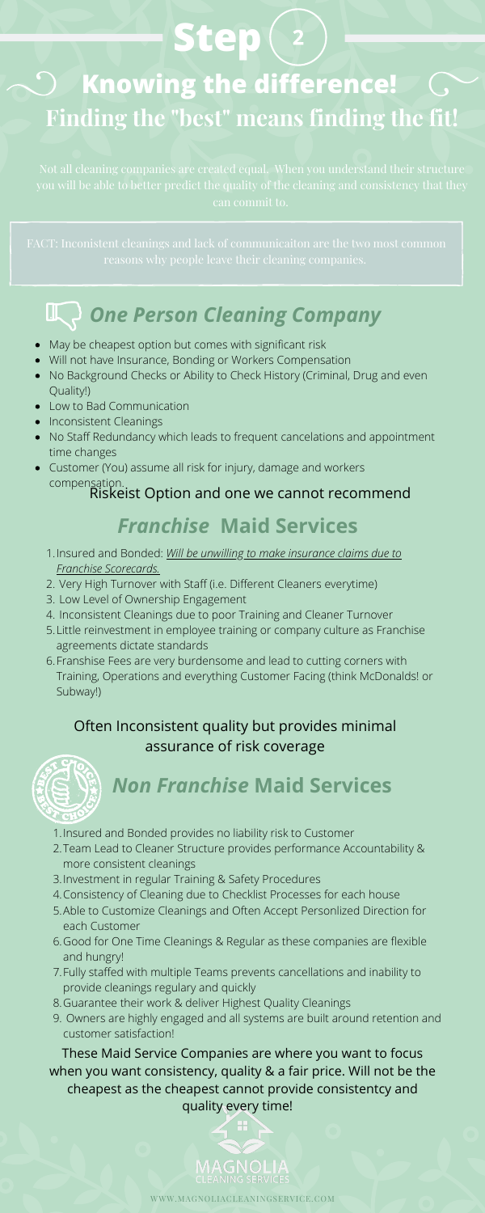# Step<sup>(2</sup>

# **Knowing the difference! Finding the "best" means finding the fit!**

can commit to.

# *One Person Cleaning Company*

- May be cheapest option but comes with significant risk
- Will not have Insurance, Bonding or Workers Compensation
- No Background Checks or Ability to Check History (Criminal, Drug and even Quality!)
- Low to Bad Communication
- Inconsistent Cleanings
- No Staff Redundancy which leads to frequent cancelations and appointment time changes
- Customer (You) assume all risk for injury, damage and workers compensation.

- 1. Insured and Bonded: *Will be unwilling to make insurance claims due to Franchise Scorecards.*
- 2. Very High Turnover with Staff (i.e. Different Cleaners everytime)
- 3. Low Level of Ownership Engagement
- Inconsistent Cleanings due to poor Training and Cleaner Turnover 4.
- Little reinvestment in employee training or company culture as Franchise 5. agreements dictate standards
- 6. Franshise Fees are very burdensome and lead to cutting corners with Training, Operations and everything Customer Facing (think McDonalds! or Subway!)

# *Franchise* **Maid Services**

# *Non Franchise* **Maid Services**

- 1. Insured and Bonded provides no liability risk to Customer
- 2. Team Lead to Cleaner Structure provides performance Accountability & more consistent cleanings
- 3. Investment in regular Training & Safety Procedures
- Consistency of Cleaning due to Checklist Processes for each house 4.
- 5. Able to Customize Cleanings and Often Accept Personlized Direction for each Customer
- 6. Good for One Time Cleanings & Regular as these companies are flexible and hungry!
- Fully staffed with multiple Teams prevents cancellations and inability to 7. provide cleanings regulary and quickly
- Guarantee their work & deliver Highest Quality Cleanings 8.
- Owners are highly engaged and all systems are built around retention and 9. customer satisfaction!

Riskeist Option and one we cannot recommend

#### Often Inconsistent quality but provides minimal

# assurance of risk coverage



These Maid Service Companies are where you want to focus when you want consistency, quality & a fair price. Will not be the cheapest as the cheapest cannot provide consistentcy and quality every time!

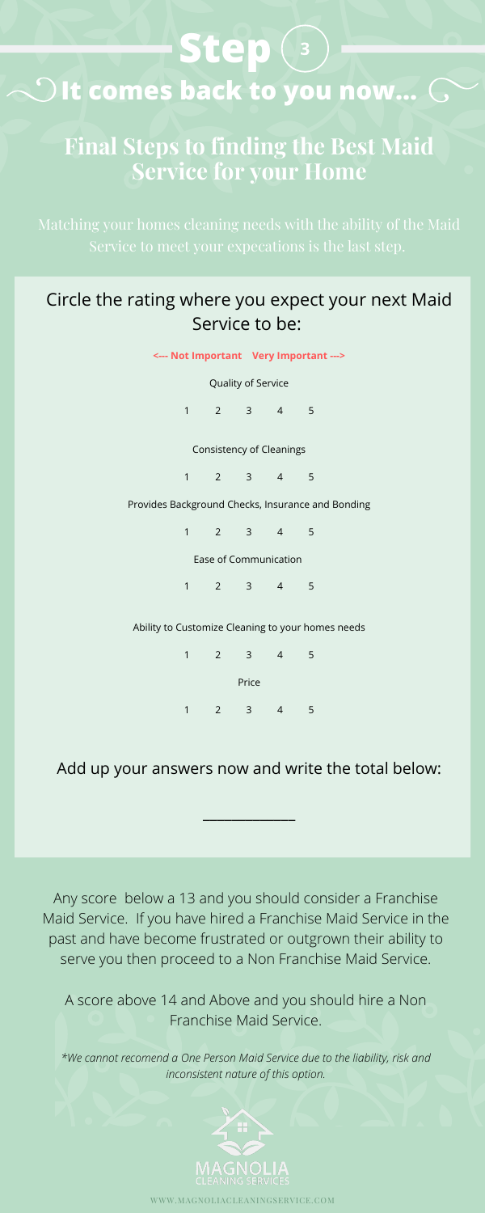## **Final Steps to finding the Best Maid Service for your Home**

### Circle the rating where you expect your next Maid Service to be:

# **Step Olt comes back to you now... G**

Quality of Service

1 2 3 4 5

Consistency of Cleanings

1 2 3 4 5

Provides Background Checks, Insurance and Bonding

1 2 3 4 5

Ease of Communication

1 2 3 4 5

Ability to Customize Cleaning to your homes needs

1 2 3 4 5 Price 1 2 3 4 5

### Add up your answers now and write the total below:

 $\frac{1}{2}$ 

Any score below a 13 and you should consider a Franchise Maid Service. If you have hired a Franchise Maid Service in the past and have become frustrated or outgrown their ability to serve you then proceed to a Non Franchise Maid Service.

A score above 14 and Above and you should hire a Non Franchise Maid Service.

*\*We cannot recomend a One Person Maid Service due to the liability, risk and inconsistent nature of this option.*

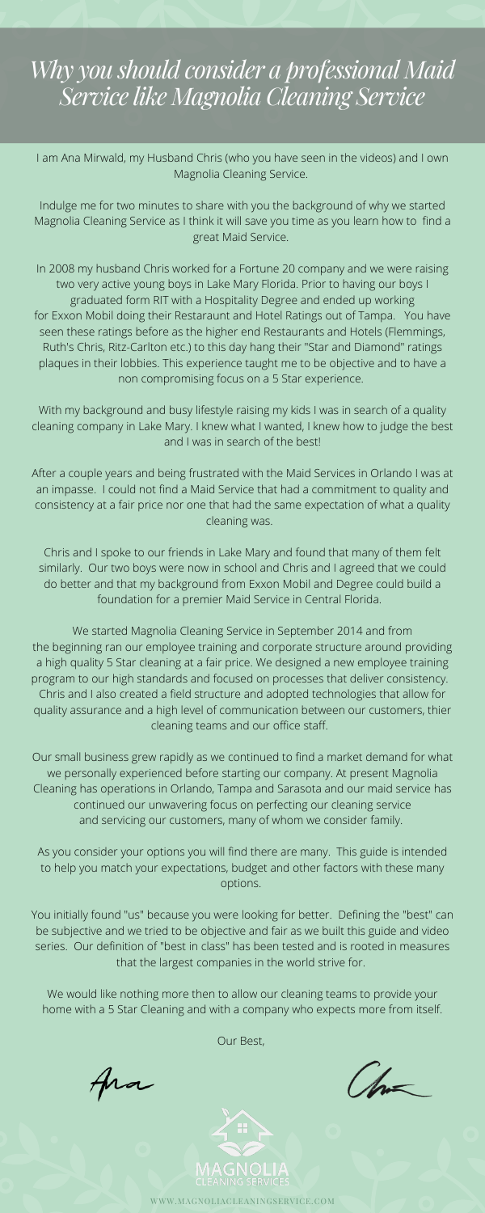I am Ana Mirwald, my Husband Chris (who you have seen in the videos) and I own Magnolia Cleaning Service.

Indulge me for two minutes to share with you the background of why we started Magnolia Cleaning Service as I think it will save you time as you learn how to find a great Maid Service.

In 2008 my husband Chris worked for a Fortune 20 company and we were raising two very active young boys in Lake Mary Florida. Prior to having our boys I graduated form RIT with a Hospitality Degree and ended up working for Exxon Mobil doing their Restaraunt and Hotel Ratings out of Tampa. You have seen these ratings before as the higher end Restaurants and Hotels (Flemmings, Ruth's Chris, Ritz-Carlton etc.) to this day hang their "Star and Diamond" ratings plaques in their lobbies. This experience taught me to be objective and to have a non compromising focus on a 5 Star experience.

With my background and busy lifestyle raising my kids I was in search of a quality cleaning company in Lake Mary. I knew what I wanted, I knew how to judge the best and I was in search of the best!

After a couple years and being frustrated with the Maid Services in Orlando I was at an impasse. I could not find a Maid Service that had a commitment to quality and consistency at a fair price nor one that had the same expectation of what a quality cleaning was.

Chris and I spoke to our friends in Lake Mary and found that many of them felt similarly. Our two boys were now in school and Chris and I agreed that we could do better and that my background from Exxon Mobil and Degree could build a foundation for a premier Maid Service in Central Florida.

We started Magnolia Cleaning Service in September 2014 and from the beginning ran our employee training and corporate structure around providing a high quality 5 Star cleaning at a fair price. We designed a new employee training program to our high standards and focused on processes that deliver consistency. Chris and I also created a field structure and adopted technologies that allow for quality assurance and a high level of communication between our customers, thier cleaning teams and our office staff.

Our small business grew rapidly as we continued to find a market demand for what we personally experienced before starting our company. At present Magnolia Cleaning has operations in Orlando, Tampa and Sarasota and our maid service has continued our unwavering focus on perfecting our cleaning service and servicing our customers, many of whom we consider family.

As you consider your options you will find there are many. This guide is intended to help you match your expectations, budget and other factors with these many options.

You initially found "us" because you were looking for better. Defining the "best" can be subjective and we tried to be objective and fair as we built this guide and video series. Our definition of "best in class" has been tested and is rooted in measures that the largest companies in the world strive for.

We would like nothing more then to allow our cleaning teams to provide your home with a 5 Star Cleaning and with a company who expects more from itself.

Our Best,

fra

ton



# *Why you should consider a professional Maid Service like Magnolia Cleaning Service*